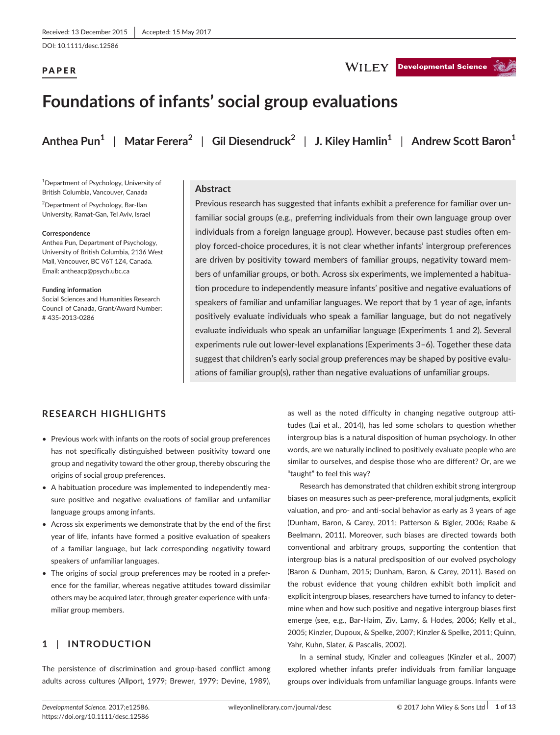DOI: 10.1111/desc.12586

# PAPER

# **Foundations of infants' social group evaluations**

**Anthea Pun1** | **Matar Ferera<sup>2</sup>** | **Gil Diesendruck<sup>2</sup>** | **J. Kiley Hamlin<sup>1</sup>** | **Andrew Scott Baron<sup>1</sup>**

1 Department of Psychology, University of British Columbia, Vancouver, Canada

<sup>2</sup>Department of Psychology, Bar-Ilan University, Ramat-Gan, Tel Aviv, Israel

#### **Correspondence**

Anthea Pun, Department of Psychology, University of British Columbia, 2136 West Mall, Vancouver, BC V6T 1Z4, Canada. Email: [antheacp@psych.ubc.ca](mailto:antheacp@psych.ubc.ca)

#### **Funding information**

Social Sciences and Humanities Research Council of Canada, Grant/Award Number: # 435-2013-0286

# **Abstract**

Previous research has suggested that infants exhibit a preference for familiar over unfamiliar social groups (e.g., preferring individuals from their own language group over individuals from a foreign language group). However, because past studies often employ forced-choice procedures, it is not clear whether infants' intergroup preferences are driven by positivity toward members of familiar groups, negativity toward members of unfamiliar groups, or both. Across six experiments, we implemented a habituation procedure to independently measure infants' positive and negative evaluations of speakers of familiar and unfamiliar languages. We report that by 1 year of age, infants positively evaluate individuals who speak a familiar language, but do not negatively evaluate individuals who speak an unfamiliar language (Experiments 1 and 2). Several experiments rule out lower-level explanations (Experiments 3–6). Together these data suggest that children's early social group preferences may be shaped by positive evaluations of familiar group(s), rather than negative evaluations of unfamiliar groups.

# **RESEARCH HIGHLIGHTS**

- Previous work with infants on the roots of social group preferences has not specifically distinguished between positivity toward one group and negativity toward the other group, thereby obscuring the origins of social group preferences.
- A habituation procedure was implemented to independently measure positive and negative evaluations of familiar and unfamiliar language groups among infants.
- Across six experiments we demonstrate that by the end of the first year of life, infants have formed a positive evaluation of speakers of a familiar language, but lack corresponding negativity toward speakers of unfamiliar languages.
- The origins of social group preferences may be rooted in a preference for the familiar, whereas negative attitudes toward dissimilar others may be acquired later, through greater experience with unfamiliar group members.

# **1** | **INTRODUCTION**

The persistence of discrimination and group-based conflict among adults across cultures (Allport, 1979; Brewer, 1979; Devine, 1989), as well as the noted difficulty in changing negative outgroup attitudes (Lai et al., 2014), has led some scholars to question whether intergroup bias is a natural disposition of human psychology. In other words, are we naturally inclined to positively evaluate people who are similar to ourselves, and despise those who are different? Or, are we "taught" to feel this way?

Research has demonstrated that children exhibit strong intergroup biases on measures such as peer-preference, moral judgments, explicit valuation, and pro- and anti-social behavior as early as 3 years of age (Dunham, Baron, & Carey, 2011; Patterson & Bigler, 2006; Raabe & Beelmann, 2011). Moreover, such biases are directed towards both conventional and arbitrary groups, supporting the contention that intergroup bias is a natural predisposition of our evolved psychology (Baron & Dunham, 2015; Dunham, Baron, & Carey, 2011). Based on the robust evidence that young children exhibit both implicit and explicit intergroup biases, researchers have turned to infancy to determine when and how such positive and negative intergroup biases first emerge (see, e.g., Bar-Haim, Ziv, Lamy, & Hodes, 2006; Kelly et al., 2005; Kinzler, Dupoux, & Spelke, 2007; Kinzler & Spelke, 2011; Quinn, Yahr, Kuhn, Slater, & Pascalis, 2002).

In a seminal study, Kinzler and colleagues (Kinzler et al., 2007) explored whether infants prefer individuals from familiar language groups over individuals from unfamiliar language groups. Infants were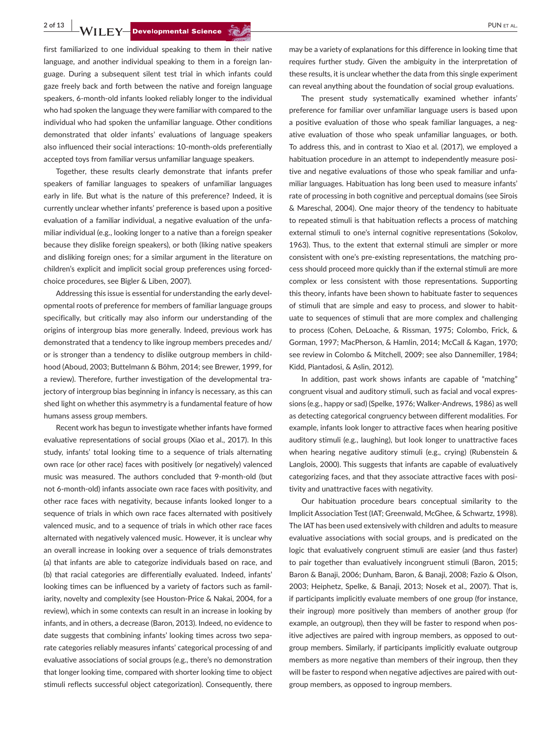**2 of 13 WII FY-Pevelopmental Science WAREL CONSUMER ALL PUNETAL** 

first familiarized to one individual speaking to them in their native language, and another individual speaking to them in a foreign language. During a subsequent silent test trial in which infants could gaze freely back and forth between the native and foreign language speakers, 6-month-old infants looked reliably longer to the individual who had spoken the language they were familiar with compared to the individual who had spoken the unfamiliar language. Other conditions demonstrated that older infants' evaluations of language speakers also influenced their social interactions: 10-month-olds preferentially accepted toys from familiar versus unfamiliar language speakers.

Together, these results clearly demonstrate that infants prefer speakers of familiar languages to speakers of unfamiliar languages early in life. But what is the nature of this preference? Indeed, it is currently unclear whether infants' preference is based upon a positive evaluation of a familiar individual, a negative evaluation of the unfamiliar individual (e.g., looking longer to a native than a foreign speaker because they dislike foreign speakers), or both (liking native speakers and disliking foreign ones; for a similar argument in the literature on children's explicit and implicit social group preferences using forcedchoice procedures, see Bigler & Liben, 2007).

Addressing this issue is essential for understanding the early developmental roots of preference for members of familiar language groups specifically, but critically may also inform our understanding of the origins of intergroup bias more generally. Indeed, previous work has demonstrated that a tendency to like ingroup members precedes and/ or is stronger than a tendency to dislike outgroup members in childhood (Aboud, 2003; Buttelmann & Böhm, 2014; see Brewer, 1999, for a review). Therefore, further investigation of the developmental trajectory of intergroup bias beginning in infancy is necessary, as this can shed light on whether this asymmetry is a fundamental feature of how humans assess group members.

Recent work has begun to investigate whether infants have formed evaluative representations of social groups (Xiao et al., 2017). In this study, infants' total looking time to a sequence of trials alternating own race (or other race) faces with positively (or negatively) valenced music was measured. The authors concluded that 9-month-old (but not 6-month-old) infants associate own race faces with positivity, and other race faces with negativity, because infants looked longer to a sequence of trials in which own race faces alternated with positively valenced music, and to a sequence of trials in which other race faces alternated with negatively valenced music. However, it is unclear why an overall increase in looking over a sequence of trials demonstrates (a) that infants are able to categorize individuals based on race, and (b) that racial categories are differentially evaluated. Indeed, infants' looking times can be influenced by a variety of factors such as familiarity, novelty and complexity (see Houston-Price & Nakai, 2004, for a review), which in some contexts can result in an increase in looking by infants, and in others, a decrease (Baron, 2013). Indeed, no evidence to date suggests that combining infants' looking times across two separate categories reliably measures infants' categorical processing of and evaluative associations of social groups (e.g., there's no demonstration that longer looking time, compared with shorter looking time to object stimuli reflects successful object categorization). Consequently, there

may be a variety of explanations for this difference in looking time that requires further study. Given the ambiguity in the interpretation of these results, it is unclear whether the data from this single experiment can reveal anything about the foundation of social group evaluations.

The present study systematically examined whether infants' preference for familiar over unfamiliar language users is based upon a positive evaluation of those who speak familiar languages, a negative evaluation of those who speak unfamiliar languages, or both. To address this, and in contrast to Xiao et al. (2017), we employed a habituation procedure in an attempt to independently measure positive and negative evaluations of those who speak familiar and unfamiliar languages. Habituation has long been used to measure infants' rate of processing in both cognitive and perceptual domains (see Sirois & Mareschal, 2004). One major theory of the tendency to habituate to repeated stimuli is that habituation reflects a process of matching external stimuli to one's internal cognitive representations (Sokolov, 1963). Thus, to the extent that external stimuli are simpler or more consistent with one's pre-existing representations, the matching process should proceed more quickly than if the external stimuli are more complex or less consistent with those representations. Supporting this theory, infants have been shown to habituate faster to sequences of stimuli that are simple and easy to process, and slower to habituate to sequences of stimuli that are more complex and challenging to process (Cohen, DeLoache, & Rissman, 1975; Colombo, Frick, & Gorman, 1997; MacPherson, & Hamlin, 2014; McCall & Kagan, 1970; see review in Colombo & Mitchell, 2009; see also Dannemiller, 1984; Kidd, Piantadosi, & Aslin, 2012).

In addition, past work shows infants are capable of "matching" congruent visual and auditory stimuli, such as facial and vocal expressions (e.g., happy or sad) (Spelke, 1976; Walker-Andrews, 1986) as well as detecting categorical congruency between different modalities. For example, infants look longer to attractive faces when hearing positive auditory stimuli (e.g., laughing), but look longer to unattractive faces when hearing negative auditory stimuli (e.g., crying) (Rubenstein & Langlois, 2000). This suggests that infants are capable of evaluatively categorizing faces, and that they associate attractive faces with positivity and unattractive faces with negativity.

Our habituation procedure bears conceptual similarity to the Implicit Association Test (IAT; Greenwald, McGhee, & Schwartz, 1998). The IAT has been used extensively with children and adults to measure evaluative associations with social groups, and is predicated on the logic that evaluatively congruent stimuli are easier (and thus faster) to pair together than evaluatively incongruent stimuli (Baron, 2015; Baron & Banaji, 2006; Dunham, Baron, & Banaji, 2008; Fazio & Olson, 2003; Heiphetz, Spelke, & Banaji, 2013; Nosek et al., 2007). That is, if participants implicitly evaluate members of one group (for instance, their ingroup) more positively than members of another group (for example, an outgroup), then they will be faster to respond when positive adjectives are paired with ingroup members, as opposed to outgroup members. Similarly, if participants implicitly evaluate outgroup members as more negative than members of their ingroup, then they will be faster to respond when negative adjectives are paired with outgroup members, as opposed to ingroup members.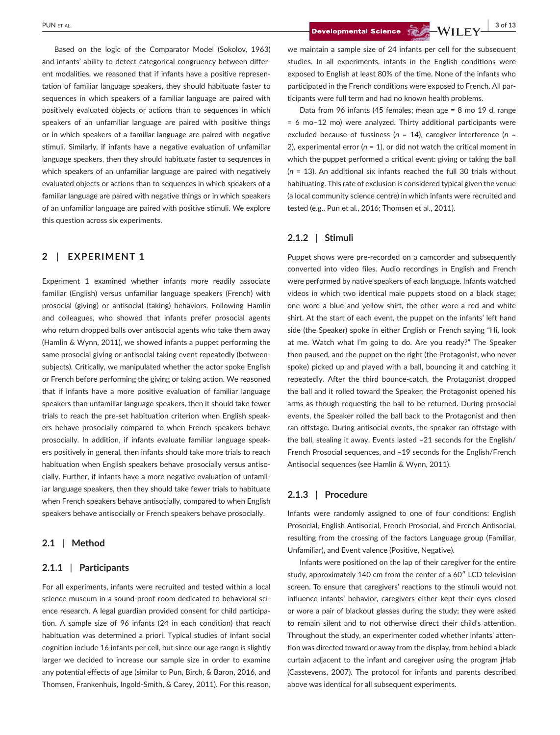Based on the logic of the Comparator Model (Sokolov, 1963) and infants' ability to detect categorical congruency between different modalities, we reasoned that if infants have a positive representation of familiar language speakers, they should habituate faster to sequences in which speakers of a familiar language are paired with positively evaluated objects or actions than to sequences in which speakers of an unfamiliar language are paired with positive things or in which speakers of a familiar language are paired with negative stimuli. Similarly, if infants have a negative evaluation of unfamiliar language speakers, then they should habituate faster to sequences in which speakers of an unfamiliar language are paired with negatively evaluated objects or actions than to sequences in which speakers of a familiar language are paired with negative things or in which speakers of an unfamiliar language are paired with positive stimuli. We explore this question across six experiments.

# **2** | **EXPERIMENT 1**

Experiment 1 examined whether infants more readily associate familiar (English) versus unfamiliar language speakers (French) with prosocial (giving) or antisocial (taking) behaviors. Following Hamlin and colleagues, who showed that infants prefer prosocial agents who return dropped balls over antisocial agents who take them away (Hamlin & Wynn, 2011), we showed infants a puppet performing the same prosocial giving or antisocial taking event repeatedly (betweensubjects). Critically, we manipulated whether the actor spoke English or French before performing the giving or taking action. We reasoned that if infants have a more positive evaluation of familiar language speakers than unfamiliar language speakers, then it should take fewer trials to reach the pre-set habituation criterion when English speakers behave prosocially compared to when French speakers behave prosocially. In addition, if infants evaluate familiar language speakers positively in general, then infants should take more trials to reach habituation when English speakers behave prosocially versus antisocially. Further, if infants have a more negative evaluation of unfamiliar language speakers, then they should take fewer trials to habituate when French speakers behave antisocially, compared to when English speakers behave antisocially or French speakers behave prosocially.

# **2.1** | **Method**

#### **2.1.1** | **Participants**

For all experiments, infants were recruited and tested within a local science museum in a sound-proof room dedicated to behavioral science research. A legal guardian provided consent for child participation. A sample size of 96 infants (24 in each condition) that reach habituation was determined a priori. Typical studies of infant social cognition include 16 infants per cell, but since our age range is slightly larger we decided to increase our sample size in order to examine any potential effects of age (similar to Pun, Birch, & Baron, 2016, and Thomsen, Frankenhuis, Ingold-Smith, & Carey, 2011). For this reason,

 **PUN ET AL. 1999 - PUN ET AL. 3 of 13** 

we maintain a sample size of 24 infants per cell for the subsequent studies. In all experiments, infants in the English conditions were exposed to English at least 80% of the time. None of the infants who participated in the French conditions were exposed to French. All participants were full term and had no known health problems.

Data from 96 infants (45 females; mean age = 8 mo 19 d, range = 6 mo–12 mo) were analyzed. Thirty additional participants were excluded because of fussiness (*n* = 14), caregiver interference (*n* = 2), experimental error ( $n = 1$ ), or did not watch the critical moment in which the puppet performed a critical event: giving or taking the ball (*n* = 13). An additional six infants reached the full 30 trials without habituating. This rate of exclusion is considered typical given the venue (a local community science centre) in which infants were recruited and tested (e.g., Pun et al., 2016; Thomsen et al., 2011).

# **2.1.2** | **Stimuli**

Puppet shows were pre-recorded on a camcorder and subsequently converted into video files. Audio recordings in English and French were performed by native speakers of each language. Infants watched videos in which two identical male puppets stood on a black stage; one wore a blue and yellow shirt, the other wore a red and white shirt. At the start of each event, the puppet on the infants' left hand side (the Speaker) spoke in either English or French saying "Hi, look at me. Watch what I'm going to do. Are you ready?" The Speaker then paused, and the puppet on the right (the Protagonist, who never spoke) picked up and played with a ball, bouncing it and catching it repeatedly. After the third bounce-catch, the Protagonist dropped the ball and it rolled toward the Speaker; the Protagonist opened his arms as though requesting the ball to be returned. During prosocial events, the Speaker rolled the ball back to the Protagonist and then ran offstage. During antisocial events, the speaker ran offstage with the ball, stealing it away. Events lasted ~21 seconds for the English/ French Prosocial sequences, and ~19 seconds for the English/French Antisocial sequences (see Hamlin & Wynn, 2011).

# **2.1.3** | **Procedure**

Infants were randomly assigned to one of four conditions: English Prosocial, English Antisocial, French Prosocial, and French Antisocial, resulting from the crossing of the factors Language group (Familiar, Unfamiliar), and Event valence (Positive, Negative).

Infants were positioned on the lap of their caregiver for the entire study, approximately 140 cm from the center of a 60" LCD television screen. To ensure that caregivers' reactions to the stimuli would not influence infants' behavior, caregivers either kept their eyes closed or wore a pair of blackout glasses during the study; they were asked to remain silent and to not otherwise direct their child's attention. Throughout the study, an experimenter coded whether infants' attention was directed toward or away from the display, from behind a black curtain adjacent to the infant and caregiver using the program jHab (Casstevens, 2007). The protocol for infants and parents described above was identical for all subsequent experiments.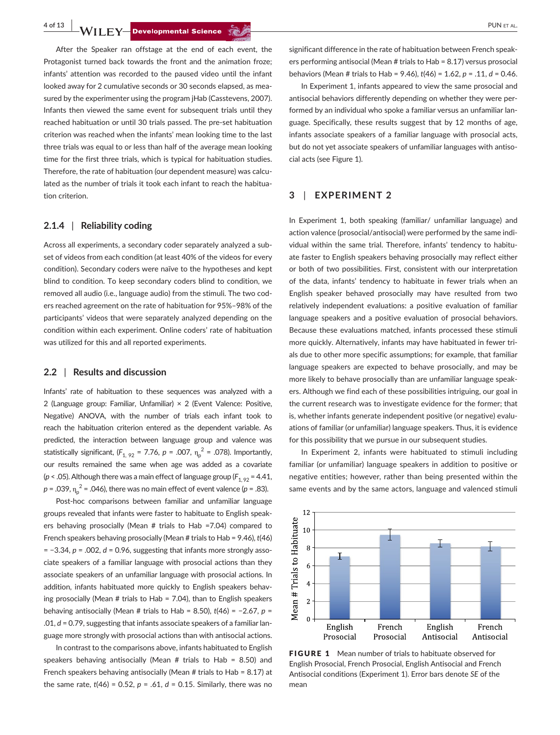**4 of 13 WII FY-Pevelopmental Science WE ALL CONSUMING THE RELATION PUNETAL.** 

After the Speaker ran offstage at the end of each event, the Protagonist turned back towards the front and the animation froze; infants' attention was recorded to the paused video until the infant looked away for 2 cumulative seconds or 30 seconds elapsed, as measured by the experimenter using the program jHab (Casstevens, 2007). Infants then viewed the same event for subsequent trials until they reached habituation or until 30 trials passed. The pre-set habituation criterion was reached when the infants' mean looking time to the last three trials was equal to or less than half of the average mean looking time for the first three trials, which is typical for habituation studies. Therefore, the rate of habituation (our dependent measure) was calculated as the number of trials it took each infant to reach the habituation criterion.

# **2.1.4** | **Reliability coding**

Across all experiments, a secondary coder separately analyzed a subset of videos from each condition (at least 40% of the videos for every condition). Secondary coders were naïve to the hypotheses and kept blind to condition. To keep secondary coders blind to condition, we removed all audio (i.e., language audio) from the stimuli. The two coders reached agreement on the rate of habituation for 95%–98% of the participants' videos that were separately analyzed depending on the condition within each experiment. Online coders' rate of habituation was utilized for this and all reported experiments.

## **2.2** | **Results and discussion**

Infants' rate of habituation to these sequences was analyzed with a 2 (Language group: Familiar, Unfamiliar) × 2 (Event Valence: Positive, Negative) ANOVA, with the number of trials each infant took to reach the habituation criterion entered as the dependent variable. As predicted, the interaction between language group and valence was statistically significant,  $(F_{1, 92} = 7.76, p = .007, \eta_p^2 = .078)$ . Importantly, our results remained the same when age was added as a covariate ( $p$  < .05). Although there was a main effect of language group ( $F_{1, 92}$  = 4.41,  $p = .039, \eta_p^2 = .046$ ), there was no main effect of event valence ( $p = .83$ ).

Post-hoc comparisons between familiar and unfamiliar language groups revealed that infants were faster to habituate to English speakers behaving prosocially (Mean # trials to Hab =7.04) compared to French speakers behaving prosocially (Mean # trials to Hab = 9.46), *t*(46) = −3.34, *p* = .002, *d* = 0.96, suggesting that infants more strongly associate speakers of a familiar language with prosocial actions than they associate speakers of an unfamiliar language with prosocial actions. In addition, infants habituated more quickly to English speakers behaving prosocially (Mean # trials to Hab = 7.04), than to English speakers behaving antisocially (Mean # trials to Hab = 8.50), *t*(46) = −2.67, *p* = .01, *d* = 0.79, suggesting that infants associate speakers of a familiarlanguage more strongly with prosocial actions than with antisocial actions.

In contrast to the comparisons above, infants habituated to English speakers behaving antisocially (Mean # trials to Hab = 8.50) and French speakers behaving antisocially (Mean # trials to Hab = 8.17) at the same rate,  $t(46) = 0.52$ ,  $p = .61$ ,  $d = 0.15$ . Similarly, there was no

significant difference in the rate of habituation between French speakers performing antisocial (Mean # trials to Hab = 8.17) versus prosocial behaviors (Mean # trials to Hab = 9.46), *t*(46) = 1.62, *p* = .11, *d* = 0.46.

In Experiment 1, infants appeared to view the same prosocial and antisocial behaviors differently depending on whether they were performed by an individual who spoke a familiar versus an unfamiliar language. Specifically, these results suggest that by 12 months of age, infants associate speakers of a familiar language with prosocial acts, but do not yet associate speakers of unfamiliar languages with antisocial acts (see Figure 1).

## **3** | **EXPERIMENT 2**

In Experiment 1, both speaking (familiar/ unfamiliar language) and action valence (prosocial/antisocial) were performed by the same individual within the same trial. Therefore, infants' tendency to habituate faster to English speakers behaving prosocially may reflect either or both of two possibilities. First, consistent with our interpretation of the data, infants' tendency to habituate in fewer trials when an English speaker behaved prosocially may have resulted from two relatively independent evaluations: a positive evaluation of familiar language speakers and a positive evaluation of prosocial behaviors. Because these evaluations matched, infants processed these stimuli more quickly. Alternatively, infants may have habituated in fewer trials due to other more specific assumptions; for example, that familiar language speakers are expected to behave prosocially, and may be more likely to behave prosocially than are unfamiliar language speakers. Although we find each of these possibilities intriguing, our goal in the current research was to investigate evidence for the former; that is, whether infants generate independent positive (or negative) evaluations of familiar (or unfamiliar) language speakers. Thus, it is evidence for this possibility that we pursue in our subsequent studies.

In Experiment 2, infants were habituated to stimuli including familiar (or unfamiliar) language speakers in addition to positive or negative entities; however, rather than being presented within the same events and by the same actors, language and valenced stimuli



FIGURE 1 Mean number of trials to habituate observed for English Prosocial, French Prosocial, English Antisocial and French Antisocial conditions (Experiment 1). Error bars denote *SE* of the mean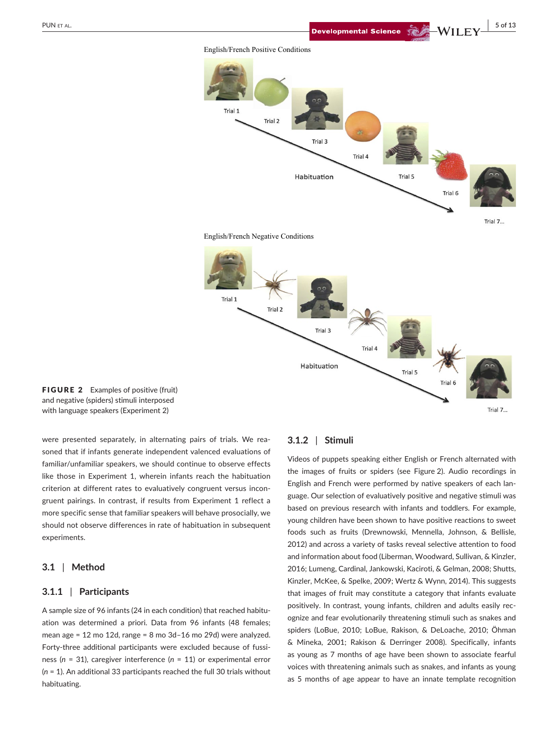**PUN ET AL. 1999 THE PUN ET AL. 1999 THE PUN ET AL. 5 of 13** 



FIGURE 2 Examples of positive (fruit) and negative (spiders) stimuli interposed with language speakers (Experiment 2)

were presented separately, in alternating pairs of trials. We reasoned that if infants generate independent valenced evaluations of familiar/unfamiliar speakers, we should continue to observe effects like those in Experiment 1, wherein infants reach the habituation criterion at different rates to evaluatively congruent versus incongruent pairings. In contrast, if results from Experiment 1 reflect a more specific sense that familiar speakers will behave prosocially, we should not observe differences in rate of habituation in subsequent experiments.

# **3.1** | **Method**

# **3.1.1** | **Participants**

A sample size of 96 infants (24 in each condition) that reached habituation was determined a priori. Data from 96 infants (48 females; mean age = 12 mo 12d, range = 8 mo 3d–16 mo 29d) were analyzed. Forty-three additional participants were excluded because of fussiness (*n* = 31), caregiver interference (*n* = 11) or experimental error (*n* = 1). An additional 33 participants reached the full 30 trials without habituating.

# **3.1.2** | **Stimuli**

Videos of puppets speaking either English or French alternated with the images of fruits or spiders (see Figure 2). Audio recordings in English and French were performed by native speakers of each language. Our selection of evaluatively positive and negative stimuli was based on previous research with infants and toddlers. For example, young children have been shown to have positive reactions to sweet foods such as fruits (Drewnowski, Mennella, Johnson, & Bellisle, 2012) and across a variety of tasks reveal selective attention to food and information about food (Liberman, Woodward, Sullivan, & Kinzler, 2016; Lumeng, Cardinal, Jankowski, Kaciroti, & Gelman, 2008; Shutts, Kinzler, McKee, & Spelke, 2009; Wertz & Wynn, 2014). This suggests that images of fruit may constitute a category that infants evaluate positively. In contrast, young infants, children and adults easily recognize and fear evolutionarily threatening stimuli such as snakes and spiders (LoBue, 2010; LoBue, Rakison, & DeLoache, 2010; Öhman & Mineka, 2001; Rakison & Derringer 2008). Specifically, infants as young as 7 months of age have been shown to associate fearful voices with threatening animals such as snakes, and infants as young as 5 months of age appear to have an innate template recognition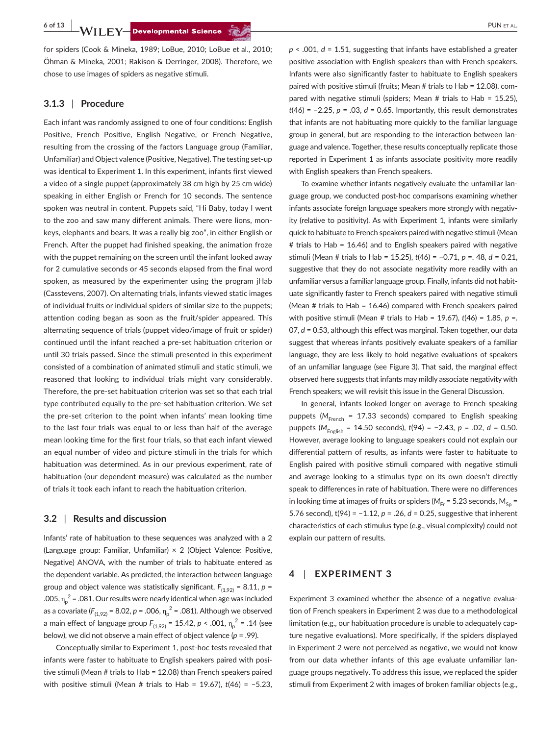for spiders (Cook & Mineka, 1989; LoBue, 2010; LoBue et al., 2010; Öhman & Mineka, 2001; Rakison & Derringer, 2008). Therefore, we chose to use images of spiders as negative stimuli.

#### **3.1.3** | **Procedure**

Each infant was randomly assigned to one of four conditions: English Positive, French Positive, English Negative, or French Negative, resulting from the crossing of the factors Language group (Familiar, Unfamiliar) and Object valence (Positive, Negative). The testing set-up was identical to Experiment 1. In this experiment, infants first viewed a video of a single puppet (approximately 38 cm high by 25 cm wide) speaking in either English or French for 10 seconds. The sentence spoken was neutral in content. Puppets said, "Hi Baby, today I went to the zoo and saw many different animals. There were lions, monkeys, elephants and bears. It was a really big zoo", in either English or French. After the puppet had finished speaking, the animation froze with the puppet remaining on the screen until the infant looked away for 2 cumulative seconds or 45 seconds elapsed from the final word spoken, as measured by the experimenter using the program jHab (Casstevens, 2007). On alternating trials, infants viewed static images of individual fruits or individual spiders of similar size to the puppets; attention coding began as soon as the fruit/spider appeared. This alternating sequence of trials (puppet video/image of fruit or spider) continued until the infant reached a pre-set habituation criterion or until 30 trials passed. Since the stimuli presented in this experiment consisted of a combination of animated stimuli and static stimuli, we reasoned that looking to individual trials might vary considerably. Therefore, the pre-set habituation criterion was set so that each trial type contributed equally to the pre-set habituation criterion. We set the pre-set criterion to the point when infants' mean looking time to the last four trials was equal to or less than half of the average mean looking time for the first four trials, so that each infant viewed an equal number of video and picture stimuli in the trials for which habituation was determined. As in our previous experiment, rate of habituation (our dependent measure) was calculated as the number of trials it took each infant to reach the habituation criterion.

#### **3.2** | **Results and discussion**

Infants' rate of habituation to these sequences was analyzed with a 2 (Language group: Familiar, Unfamiliar) × 2 (Object Valence: Positive, Negative) ANOVA, with the number of trials to habituate entered as the dependent variable. As predicted, the interaction between language group and object valence was statistically significant,  $F_{(1,92)} = 8.11$ ,  $p =$ .005,  $\eta_{\text{p}}^2$  = .081. Our results were nearly identical when age was included as a covariate ( $F_{(1,92)} = 8.02$ ,  $p = .006$ ,  $\eta_p^2 = .081$ ). Although we observed a main effect of language group  $F_{(1,92)}$  = 15.42,  $p < .001$ ,  $\eta_p^2$  = .14 (see below), we did not observe a main effect of object valence (*p* = .99).

Conceptually similar to Experiment 1, post-hoc tests revealed that infants were faster to habituate to English speakers paired with positive stimuli (Mean # trials to Hab = 12.08) than French speakers paired with positive stimuli (Mean # trials to Hab = 19.67), *t*(46) = −5.23, *p* < .001, *d* = 1.51, suggesting that infants have established a greater positive association with English speakers than with French speakers. Infants were also significantly faster to habituate to English speakers paired with positive stimuli (fruits; Mean # trials to Hab = 12.08), compared with negative stimuli (spiders: Mean # trials to Hab =  $15.25$ ). *t*(46) = −2.25, *p* = .03, *d* = 0.65. Importantly, this result demonstrates that infants are not habituating more quickly to the familiar language group in general, but are responding to the interaction between language and valence. Together, these results conceptually replicate those reported in Experiment 1 as infants associate positivity more readily with English speakers than French speakers.

To examine whether infants negatively evaluate the unfamiliar language group, we conducted post-hoc comparisons examining whether infants associate foreign language speakers more strongly with negativity (relative to positivity). As with Experiment 1, infants were similarly quick to habituate to French speakers paired with negative stimuli (Mean # trials to Hab = 16.46) and to English speakers paired with negative stimuli (Mean # trials to Hab = 15.25), *t*(46) = −0.71, *p* =. 48, *d* = 0.21, suggestive that they do not associate negativity more readily with an unfamiliar versus a familiar language group. Finally, infants did not habituate significantly faster to French speakers paired with negative stimuli (Mean # trials to Hab = 16.46) compared with French speakers paired with positive stimuli (Mean # trials to Hab = 19.67), *t*(46) = 1.85, *p* =. 07, *d* = 0.53, although this effect was marginal. Taken together, our data suggest that whereas infants positively evaluate speakers of a familiar language, they are less likely to hold negative evaluations of speakers of an unfamiliar language (see Figure 3). That said, the marginal effect observed here suggests that infants may mildly associate negativity with French speakers; we will revisit this issue in the General Discussion.

In general, infants looked longer on average to French speaking puppets ( $M_{\text{French}}$  = 17.33 seconds) compared to English speaking puppets ( $M_{English}$  = 14.50 seconds), *t*(94) = −2.43, *p* = .02, *d* = 0.50. However, average looking to language speakers could not explain our differential pattern of results, as infants were faster to habituate to English paired with positive stimuli compared with negative stimuli and average looking to a stimulus type on its own doesn't directly speak to differences in rate of habituation. There were no differences in looking time at images of fruits or spiders ( $M_{\rm Fr}$  = 5.23 seconds,  $M_{\rm Sn}$  = 5.76 second), t(94) = −1.12, *p* = .26, *d* = 0.25, suggestive that inherent characteristics of each stimulus type (e.g., visual complexity) could not explain our pattern of results.

# **4** | **EXPERIMENT 3**

Experiment 3 examined whether the absence of a negative evaluation of French speakers in Experiment 2 was due to a methodological limitation (e.g., our habituation procedure is unable to adequately capture negative evaluations). More specifically, if the spiders displayed in Experiment 2 were not perceived as negative, we would not know from our data whether infants of this age evaluate unfamiliar language groups negatively. To address this issue, we replaced the spider stimuli from Experiment 2 with images of broken familiar objects (e.g.,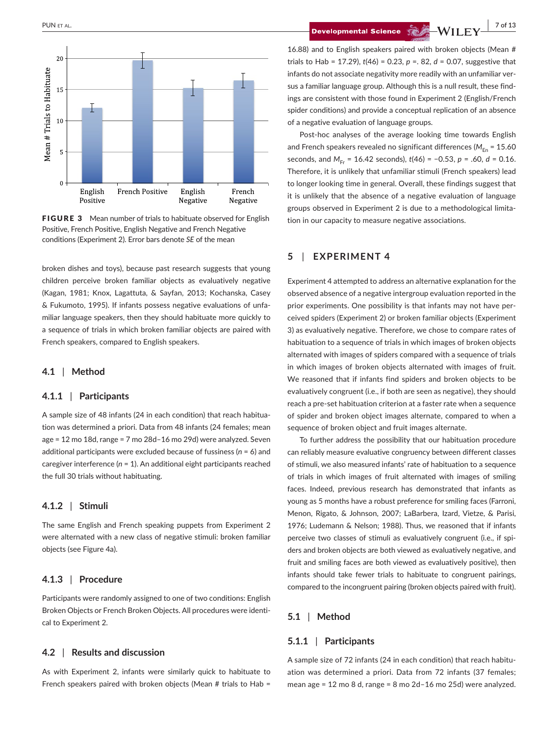

**FIGURE 3** Mean number of trials to habituate observed for English Positive, French Positive, English Negative and French Negative conditions (Experiment 2). Error bars denote *SE* of the mean

broken dishes and toys), because past research suggests that young children perceive broken familiar objects as evaluatively negative (Kagan, 1981; Knox, Lagattuta, & Sayfan, 2013; Kochanska, Casey & Fukumoto, 1995). If infants possess negative evaluations of unfamiliar language speakers, then they should habituate more quickly to a sequence of trials in which broken familiar objects are paired with French speakers, compared to English speakers.

#### **4.1** | **Method**

#### **4.1.1** | **Participants**

A sample size of 48 infants (24 in each condition) that reach habituation was determined a priori. Data from 48 infants (24 females; mean age = 12 mo 18d, range = 7 mo 28d–16 mo 29d) were analyzed. Seven additional participants were excluded because of fussiness (*n* = 6) and caregiver interference (*n* = 1). An additional eight participants reached the full 30 trials without habituating.

# **4.1.2** | **Stimuli**

The same English and French speaking puppets from Experiment 2 were alternated with a new class of negative stimuli: broken familiar objects (see Figure 4a).

# **4.1.3** | **Procedure**

Participants were randomly assigned to one of two conditions: English Broken Objects or French Broken Objects. All procedures were identical to Experiment 2.

#### **4.2** | **Results and discussion**

As with Experiment 2, infants were similarly quick to habituate to French speakers paired with broken objects (Mean # trials to Hab =

 **PUN** ET AL. *PUN ET AL.* **<b>***7 of 13* **Developmental Science**  $\sum_{n=1}^{\infty}$  **WII.EY.** 76113

16.88) and to English speakers paired with broken objects (Mean # trials to Hab = 17.29),  $t(46) = 0.23$ ,  $p = 0.82$ ,  $d = 0.07$ , suggestive that infants do not associate negativity more readily with an unfamiliar versus a familiar language group. Although this is a null result, these findings are consistent with those found in Experiment 2 (English/French spider conditions) and provide a conceptual replication of an absence of a negative evaluation of language groups.

Post-hoc analyses of the average looking time towards English and French speakers revealed no significant differences ( $M_{\text{En}}$  = 15.60 seconds, and  $M_{F_r}$  = 16.42 seconds),  $t(46)$  = -0.53,  $p$  = .60,  $d$  = 0.16. Therefore, it is unlikely that unfamiliar stimuli (French speakers) lead to longer looking time in general. Overall, these findings suggest that it is unlikely that the absence of a negative evaluation of language groups observed in Experiment 2 is due to a methodological limitation in our capacity to measure negative associations.

# **5** | **EXPERIMENT 4**

Experiment 4 attempted to address an alternative explanation for the observed absence of a negative intergroup evaluation reported in the prior experiments. One possibility is that infants may not have perceived spiders (Experiment 2) or broken familiar objects (Experiment 3) as evaluatively negative. Therefore, we chose to compare rates of habituation to a sequence of trials in which images of broken objects alternated with images of spiders compared with a sequence of trials in which images of broken objects alternated with images of fruit. We reasoned that if infants find spiders and broken objects to be evaluatively congruent (i.e., if both are seen as negative), they should reach a pre-set habituation criterion at a faster rate when a sequence of spider and broken object images alternate, compared to when a sequence of broken object and fruit images alternate.

To further address the possibility that our habituation procedure can reliably measure evaluative congruency between different classes of stimuli, we also measured infants' rate of habituation to a sequence of trials in which images of fruit alternated with images of smiling faces. Indeed, previous research has demonstrated that infants as young as 5 months have a robust preference for smiling faces (Farroni, Menon, Rigato, & Johnson, 2007; LaBarbera, Izard, Vietze, & Parisi, 1976; Ludemann & Nelson; 1988). Thus, we reasoned that if infants perceive two classes of stimuli as evaluatively congruent (i.e., if spiders and broken objects are both viewed as evaluatively negative, and fruit and smiling faces are both viewed as evaluatively positive), then infants should take fewer trials to habituate to congruent pairings, compared to the incongruent pairing (broken objects paired with fruit).

# **5.1** | **Method**

#### **5.1.1** | **Participants**

A sample size of 72 infants (24 in each condition) that reach habituation was determined a priori. Data from 72 infants (37 females; mean age = 12 mo 8 d, range = 8 mo 2d–16 mo 25d) were analyzed.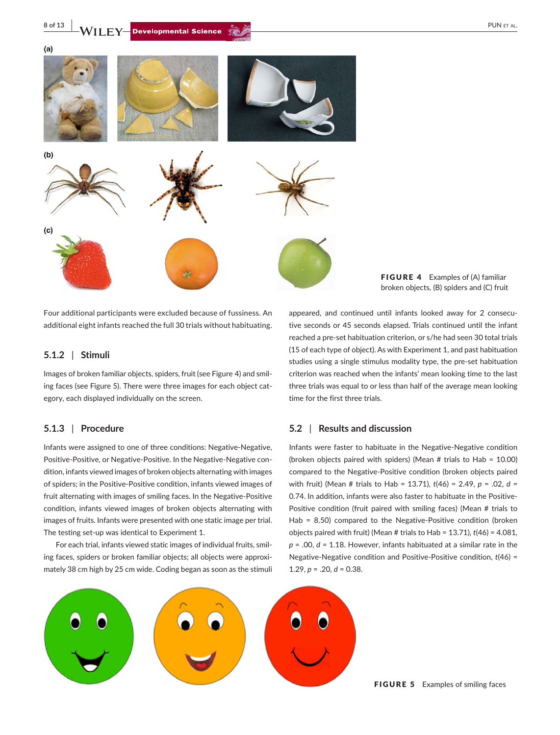

Four additional participants were excluded because of fussiness. An additional eight infants reached the full 30 trials without habituating.

# **5.1.2** | **Stimuli**

Images of broken familiar objects, spiders, fruit (see Figure 4) and smiling faces (see Figure 5). There were three images for each object category, each displayed individually on the screen.

# **5.1.3** | **Procedure**

Infants were assigned to one of three conditions: Negative-Negative, Positive-Positive, or Negative-Positive. In the Negative-Negative condition, infants viewed images of broken objects alternating with images of spiders; in the Positive-Positive condition, infants viewed images of fruit alternating with images of smiling faces. In the Negative-Positive condition, infants viewed images of broken objects alternating with images of fruits. Infants were presented with one static image per trial. The testing set-up was identical to Experiment 1.

For each trial, infants viewed static images of individual fruits, smiling faces, spiders or broken familiar objects; all objects were approximately 38 cm high by 25 cm wide. Coding began as soon as the stimuli

tive seconds or 45 seconds elapsed. Trials continued until the infant reached a pre-set habituation criterion, or s/he had seen 30 total trials (15 of each type of object). As with Experiment 1, and past habituation studies using a single stimulus modality type, the pre-set habituation criterion was reached when the infants' mean looking time to the last three trials was equal to or less than half of the average mean looking time for the first three trials.

appeared, and continued until infants looked away for 2 consecu-

FIGURE 4 Examples of (A) familiar broken objects, (B) spiders and (C) fruit

# **5.2** | **Results and discussion**

Infants were faster to habituate in the Negative-Negative condition (broken objects paired with spiders) (Mean # trials to Hab = 10.00) compared to the Negative-Positive condition (broken objects paired with fruit) (Mean # trials to Hab = 13.71), *t*(46) = 2.49, *p* = .02, *d* = 0.74. In addition, infants were also faster to habituate in the Positive-Positive condition (fruit paired with smiling faces) (Mean # trials to Hab = 8.50) compared to the Negative-Positive condition (broken objects paired with fruit) (Mean # trials to Hab = 13.71), *t*(46) = 4.081, *p* = .00, *d* = 1.18. However, infants habituated at a similar rate in the Negative-Negative condition and Positive-Positive condition, *t*(46) = 1.29, *p* = .20, *d* = 0.38.

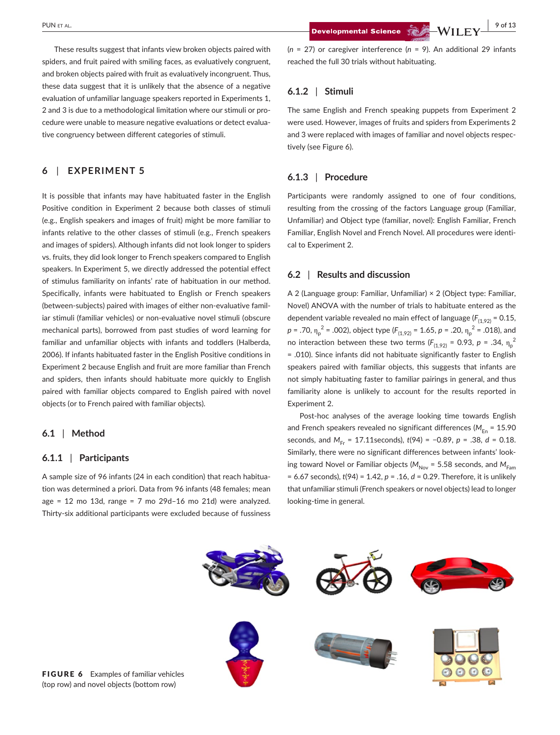These results suggest that infants view broken objects paired with spiders, and fruit paired with smiling faces, as evaluatively congruent, and broken objects paired with fruit as evaluatively incongruent. Thus, these data suggest that it is unlikely that the absence of a negative evaluation of unfamiliar language speakers reported in Experiments 1, 2 and 3 is due to a methodological limitation where our stimuli or procedure were unable to measure negative evaluations or detect evaluative congruency between different categories of stimuli.

# **6** | **EXPERIMENT 5**

It is possible that infants may have habituated faster in the English Positive condition in Experiment 2 because both classes of stimuli (e.g., English speakers and images of fruit) might be more familiar to infants relative to the other classes of stimuli (e.g., French speakers and images of spiders). Although infants did not look longer to spiders vs. fruits, they did look longer to French speakers compared to English speakers. In Experiment 5, we directly addressed the potential effect of stimulus familiarity on infants' rate of habituation in our method. Specifically, infants were habituated to English or French speakers (between-subjects) paired with images of either non-evaluative familiar stimuli (familiar vehicles) or non-evaluative novel stimuli (obscure mechanical parts), borrowed from past studies of word learning for familiar and unfamiliar objects with infants and toddlers (Halberda, 2006). If infants habituated faster in the English Positive conditions in Experiment 2 because English and fruit are more familiar than French and spiders, then infants should habituate more quickly to English paired with familiar objects compared to English paired with novel objects (or to French paired with familiar objects).

# **6.1** | **Method**

# **6.1.1** | **Participants**

A sample size of 96 infants (24 in each condition) that reach habituation was determined a priori. Data from 96 infants (48 females; mean age = 12 mo 13d, range = 7 mo 29d-16 mo 21d) were analyzed. Thirty-six additional participants were excluded because of fussiness (*n* = 27) or caregiver interference (*n* = 9). An additional 29 infants reached the full 30 trials without habituating.

# **6.1.2** | **Stimuli**

The same English and French speaking puppets from Experiment 2 were used. However, images of fruits and spiders from Experiments 2 and 3 were replaced with images of familiar and novel objects respectively (see Figure 6).

# **6.1.3** | **Procedure**

Participants were randomly assigned to one of four conditions, resulting from the crossing of the factors Language group (Familiar, Unfamiliar) and Object type (familiar, novel): English Familiar, French Familiar, English Novel and French Novel. All procedures were identical to Experiment 2.

#### **6.2** | **Results and discussion**

A 2 (Language group: Familiar, Unfamiliar) × 2 (Object type: Familiar, Novel) ANOVA with the number of trials to habituate entered as the dependent variable revealed no main effect of language ( $F_{(1,92)} = 0.15$ , *p* = .70,  $η_p^2$  = .002), object type ( $F_{(1,92)}$  = 1.65, *p* = .20,  $η_p^2$  = .018), and no interaction between these two terms  $(F_{(1,92)} = 0.93, p = .34, \eta_p^2)$ = .010). Since infants did not habituate significantly faster to English speakers paired with familiar objects, this suggests that infants are not simply habituating faster to familiar pairings in general, and thus familiarity alone is unlikely to account for the results reported in Experiment 2.

Post-hoc analyses of the average looking time towards English and French speakers revealed no significant differences ( $M_{En}$  = 15.90 seconds, and *M*<sub>Fr</sub> = 17.11seconds), *t*(94) = −0.89, *p* = .38, *d* = 0.18. Similarly, there were no significant differences between infants' looking toward Novel or Familiar objects ( $M_{\text{Nov}}$  = 5.58 seconds, and  $M_{\text{Fam}}$ = 6.67 seconds), *t*(94) = 1.42, *p* = .16, *d* = 0.29. Therefore, it is unlikely that unfamiliar stimuli (French speakers or novel objects) lead to longer looking-time in general.

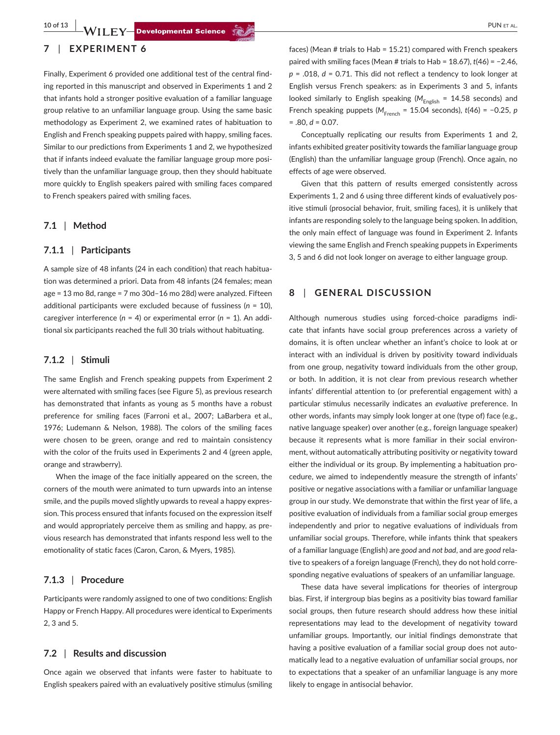**10 of 13 WILEY Developmental Science** *Research PUN* **ET AL.** 

# **7** | **EXPERIMENT 6**

Finally, Experiment 6 provided one additional test of the central finding reported in this manuscript and observed in Experiments 1 and 2 that infants hold a stronger positive evaluation of a familiar language group relative to an unfamiliar language group. Using the same basic methodology as Experiment 2, we examined rates of habituation to English and French speaking puppets paired with happy, smiling faces. Similar to our predictions from Experiments 1 and 2, we hypothesized that if infants indeed evaluate the familiar language group more positively than the unfamiliar language group, then they should habituate more quickly to English speakers paired with smiling faces compared to French speakers paired with smiling faces.

# **7.1** | **Method**

## **7.1.1** | **Participants**

A sample size of 48 infants (24 in each condition) that reach habituation was determined a priori. Data from 48 infants (24 females; mean age = 13 mo 8d, range = 7 mo 30d–16 mo 28d) were analyzed. Fifteen additional participants were excluded because of fussiness (*n* = 10), caregiver interference (*n* = 4) or experimental error (*n* = 1). An additional six participants reached the full 30 trials without habituating.

#### **7.1.2** | **Stimuli**

The same English and French speaking puppets from Experiment 2 were alternated with smiling faces (see Figure 5), as previous research has demonstrated that infants as young as 5 months have a robust preference for smiling faces (Farroni et al., 2007; LaBarbera et al., 1976; Ludemann & Nelson, 1988). The colors of the smiling faces were chosen to be green, orange and red to maintain consistency with the color of the fruits used in Experiments 2 and 4 (green apple, orange and strawberry).

When the image of the face initially appeared on the screen, the corners of the mouth were animated to turn upwards into an intense smile, and the pupils moved slightly upwards to reveal a happy expression. This process ensured that infants focused on the expression itself and would appropriately perceive them as smiling and happy, as previous research has demonstrated that infants respond less well to the emotionality of static faces (Caron, Caron, & Myers, 1985).

# **7.1.3** | **Procedure**

Participants were randomly assigned to one of two conditions: English Happy or French Happy. All procedures were identical to Experiments 2, 3 and 5.

#### **7.2** | **Results and discussion**

Once again we observed that infants were faster to habituate to English speakers paired with an evaluatively positive stimulus (smiling

faces) (Mean # trials to Hab = 15.21) compared with French speakers paired with smiling faces (Mean # trials to Hab = 18.67), *t*(46) = −2.46, *p* = .018, *d* = 0.71. This did not reflect a tendency to look longer at English versus French speakers: as in Experiments 3 and 5, infants looked similarly to English speaking (M<sub>English</sub> = 14.58 seconds) and French speaking puppets ( $M_{\text{French}}$  = 15.04 seconds),  $t(46)$  = -0.25, *p*  $= .80, d = 0.07.$ 

Conceptually replicating our results from Experiments 1 and 2, infants exhibited greater positivity towards the familiar language group (English) than the unfamiliar language group (French). Once again, no effects of age were observed.

Given that this pattern of results emerged consistently across Experiments 1, 2 and 6 using three different kinds of evaluatively positive stimuli (prosocial behavior, fruit, smiling faces), it is unlikely that infants are responding solely to the language being spoken. In addition, the only main effect of language was found in Experiment 2. Infants viewing the same English and French speaking puppets in Experiments 3, 5 and 6 did not look longer on average to either language group.

# **8** | **GENERAL DISCUSSION**

Although numerous studies using forced-choice paradigms indicate that infants have social group preferences across a variety of domains, it is often unclear whether an infant's choice to look at or interact with an individual is driven by positivity toward individuals from one group, negativity toward individuals from the other group, or both. In addition, it is not clear from previous research whether infants' differential attention to (or preferential engagement with) a particular stimulus necessarily indicates an *evaluative* preference. In other words, infants may simply look longer at one (type of) face (e.g., native language speaker) over another (e.g., foreign language speaker) because it represents what is more familiar in their social environment, without automatically attributing positivity or negativity toward either the individual or its group. By implementing a habituation procedure, we aimed to independently measure the strength of infants' positive or negative associations with a familiar or unfamiliar language group in our study. We demonstrate that within the first year of life, a positive evaluation of individuals from a familiar social group emerges independently and prior to negative evaluations of individuals from unfamiliar social groups. Therefore, while infants think that speakers of a familiar language (English) are *good* and *not bad*, and are *good* relative to speakers of a foreign language (French), they do not hold corresponding negative evaluations of speakers of an unfamiliar language.

These data have several implications for theories of intergroup bias. First, if intergroup bias begins as a positivity bias toward familiar social groups, then future research should address how these initial representations may lead to the development of negativity toward unfamiliar groups. Importantly, our initial findings demonstrate that having a positive evaluation of a familiar social group does not automatically lead to a negative evaluation of unfamiliar social groups, nor to expectations that a speaker of an unfamiliar language is any more likely to engage in antisocial behavior.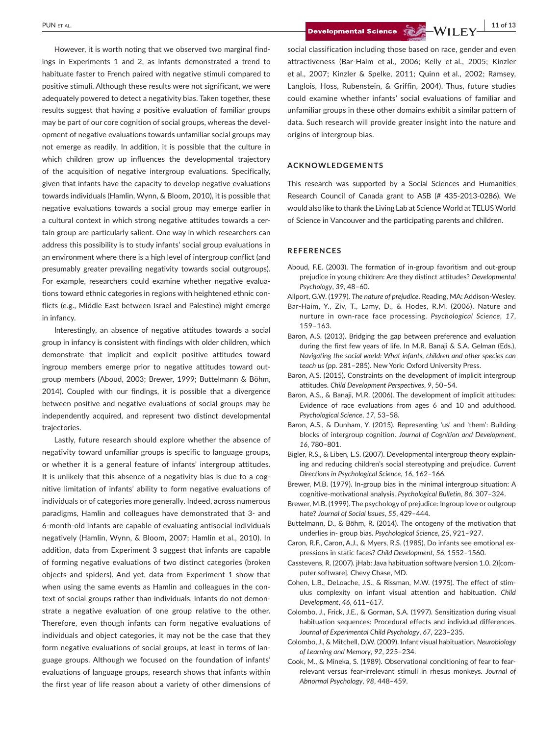However, it is worth noting that we observed two marginal findings in Experiments 1 and 2, as infants demonstrated a trend to habituate faster to French paired with negative stimuli compared to positive stimuli. Although these results were not significant, we were adequately powered to detect a negativity bias. Taken together, these results suggest that having a positive evaluation of familiar groups may be part of our core cognition of social groups, whereas the development of negative evaluations towards unfamiliar social groups may not emerge as readily. In addition, it is possible that the culture in which children grow up influences the developmental trajectory of the acquisition of negative intergroup evaluations. Specifically, given that infants have the capacity to develop negative evaluations towards individuals (Hamlin, Wynn, & Bloom, 2010), it is possible that negative evaluations towards a social group may emerge earlier in a cultural context in which strong negative attitudes towards a certain group are particularly salient. One way in which researchers can address this possibility is to study infants' social group evaluations in an environment where there is a high level of intergroup conflict (and presumably greater prevailing negativity towards social outgroups). For example, researchers could examine whether negative evaluations toward ethnic categories in regions with heightened ethnic conflicts (e.g., Middle East between Israel and Palestine) might emerge in infancy.

Interestingly, an absence of negative attitudes towards a social group in infancy is consistent with findings with older children, which demonstrate that implicit and explicit positive attitudes toward ingroup members emerge prior to negative attitudes toward outgroup members (Aboud, 2003; Brewer, 1999; Buttelmann & Böhm, 2014). Coupled with our findings, it is possible that a divergence between positive and negative evaluations of social groups may be independently acquired, and represent two distinct developmental trajectories.

Lastly, future research should explore whether the absence of negativity toward unfamiliar groups is specific to language groups, or whether it is a general feature of infants' intergroup attitudes. It is unlikely that this absence of a negativity bias is due to a cognitive limitation of infants' ability to form negative evaluations of individuals or of categories more generally. Indeed, across numerous paradigms, Hamlin and colleagues have demonstrated that 3- and 6-month-old infants are capable of evaluating antisocial individuals negatively (Hamlin, Wynn, & Bloom, 2007; Hamlin et al., 2010). In addition, data from Experiment 3 suggest that infants are capable of forming negative evaluations of two distinct categories (broken objects and spiders). And yet, data from Experiment 1 show that when using the same events as Hamlin and colleagues in the context of social groups rather than individuals, infants do not demonstrate a negative evaluation of one group relative to the other. Therefore, even though infants can form negative evaluations of individuals and object categories, it may not be the case that they form negative evaluations of social groups, at least in terms of language groups. Although we focused on the foundation of infants' evaluations of language groups, research shows that infants within the first year of life reason about a variety of other dimensions of

 **PUN ET AL. 11 of 13**<br>**Developmental Science**  $\sum_{n=1}^{\infty}$  **WII FY** 

social classification including those based on race, gender and even attractiveness (Bar-Haim et al., 2006; Kelly et al., 2005; Kinzler et al., 2007; Kinzler & Spelke, 2011; Quinn et al., 2002; Ramsey, Langlois, Hoss, Rubenstein, & Griffin, 2004). Thus, future studies could examine whether infants' social evaluations of familiar and unfamiliar groups in these other domains exhibit a similar pattern of data. Such research will provide greater insight into the nature and origins of intergroup bias.

#### **ACKNOWLEDGEMENTS**

This research was supported by a Social Sciences and Humanities Research Council of Canada grant to ASB (# 435-2013-0286). We would also like to thank the Living Lab at Science World at TELUS World of Science in Vancouver and the participating parents and children.

# **REFERENCES**

- Aboud, F.E. (2003). The formation of in-group favoritism and out-group prejudice in young children: Are they distinct attitudes? *Developmental Psychology*, *39*, 48–60.
- Allport, G.W. (1979). *The nature of prejudice*. Reading, MA: Addison-Wesley.
- Bar-Haim, Y., Ziv, T., Lamy, D., & Hodes, R.M. (2006). Nature and nurture in own-race face processing. *Psychological Science*, *17*, 159–163.
- Baron, A.S. (2013). Bridging the gap between preference and evaluation during the first few years of life. In M.R. Banaji & S.A. Gelman (Eds.), *Navigating the social world: What infants, children and other species can teach us* (pp. 281–285). New York: Oxford University Press.
- Baron, A.S. (2015). Constraints on the development of implicit intergroup attitudes. *Child Development Perspectives*, *9*, 50–54.
- Baron, A.S., & Banaji, M.R. (2006). The development of implicit attitudes: Evidence of race evaluations from ages 6 and 10 and adulthood. *Psychological Science*, *17*, 53–58.
- Baron, A.S., & Dunham, Y. (2015). Representing 'us' and 'them': Building blocks of intergroup cognition. *Journal of Cognition and Development*, *16*, 780–801.
- Bigler, R.S., & Liben, L.S. (2007). Developmental intergroup theory explaining and reducing children's social stereotyping and prejudice. *Current Directions in Psychological Science*, *16*, 162–166.
- Brewer, M.B. (1979). In-group bias in the minimal intergroup situation: A cognitive-motivational analysis. *Psychological Bulletin*, *86*, 307–324.
- Brewer, M.B. (1999). The psychology of prejudice: Ingroup love or outgroup hate? *Journal of Social Issues*, *55*, 429–444.
- Buttelmann, D., & Böhm, R. (2014). The ontogeny of the motivation that underlies in- group bias. *Psychological Science*, *25*, 921–927.
- Caron, R.F., Caron, A.J., & Myers, R.S. (1985). Do infants see emotional expressions in static faces? *Child Development*, *56*, 1552–1560.
- Casstevens, R. (2007). jHab: Java habituation software (version 1.0. 2)[computer software]. Chevy Chase, MD.
- Cohen, L.B., DeLoache, J.S., & Rissman, M.W. (1975). The effect of stimulus complexity on infant visual attention and habituation. *Child Development*, *46*, 611–617.
- Colombo, J., Frick, J.E., & Gorman, S.A. (1997). Sensitization during visual habituation sequences: Procedural effects and individual differences. *Journal of Experimental Child Psychology*, *67*, 223–235.
- Colombo, J., & Mitchell, D.W. (2009). Infant visual habituation. *Neurobiology of Learning and Memory*, *92*, 225–234.
- Cook, M., & Mineka, S. (1989). Observational conditioning of fear to fearrelevant versus fear-irrelevant stimuli in rhesus monkeys. *Journal of Abnormal Psychology*, *98*, 448–459.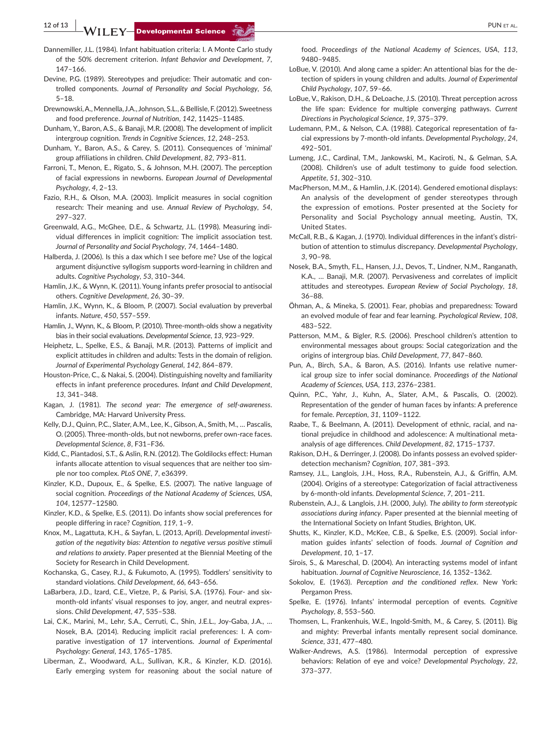- Dannemiller, J.L. (1984). Infant habituation criteria: I. A Monte Carlo study of the 50% decrement criterion. *Infant Behavior and Development*, *7*, 147–166.
- Devine, P.G. (1989). Stereotypes and prejudice: Their automatic and controlled components. *Journal of Personality and Social Psychology*, *56*, 5–18.
- Drewnowski, A., Mennella, J.A., Johnson, S.L., & Bellisle, F. (2012). Sweetness and food preference. *Journal of Nutrition*, *142*, 1142S–1148S.
- Dunham, Y., Baron, A.S., & Banaji, M.R. (2008). The development of implicit intergroup cognition. *Trends in Cognitive Sciences*, *12*, 248–253.
- Dunham, Y., Baron, A.S., & Carey, S. (2011). Consequences of 'minimal' group affiliations in children. *Child Development*, *82*, 793–811.
- Farroni, T., Menon, E., Rigato, S., & Johnson, M.H. (2007). The perception of facial expressions in newborns. *European Journal of Developmental Psychology*, *4*, 2–13.
- Fazio, R.H., & Olson, M.A. (2003). Implicit measures in social cognition research: Their meaning and use. *Annual Review of Psychology*, *54*, 297–327.
- Greenwald, A.G., McGhee, D.E., & Schwartz, J.L. (1998). Measuring individual differences in implicit cognition: The implicit association test. *Journal of Personality and Social Psychology*, *74*, 1464–1480.
- Halberda, J. (2006). Is this a dax which I see before me? Use of the logical argument disjunctive syllogism supports word-learning in children and adults. *Cognitive Psychology*, *53*, 310–344.
- Hamlin, J.K., & Wynn, K. (2011). Young infants prefer prosocial to antisocial others. *Cognitive Development*, *26*, 30–39.
- Hamlin, J.K., Wynn, K., & Bloom, P. (2007). Social evaluation by preverbal infants. *Nature*, *450*, 557–559.
- Hamlin, J., Wynn, K., & Bloom, P. (2010). Three-month-olds show a negativity bias in their social evaluations. *Developmental Science*, *13*, 923–929.
- Heiphetz, L., Spelke, E.S., & Banaji, M.R. (2013). Patterns of implicit and explicit attitudes in children and adults: Tests in the domain of religion. *Journal of Experimental Psychology General*, *142*, 864–879.
- Houston-Price, C., & Nakai, S. (2004). Distinguishing novelty and familiarity effects in infant preference procedures. *Infant and Child Development*, *13*, 341–348.
- Kagan, J. (1981). *The second year: The emergence of self-awareness*. Cambridge, MA: Harvard University Press.
- Kelly, D.J., Quinn, P.C., Slater, A.M., Lee, K., Gibson, A., Smith, M., … Pascalis, O. (2005). Three-month-olds, but not newborns, prefer own-race faces. *Developmental Science*, *8*, F31–F36.
- Kidd, C., Piantadosi, S.T., & Aslin, R.N. (2012). The Goldilocks effect: Human infants allocate attention to visual sequences that are neither too simple nor too complex. *PLoS ONE*, *7*, e36399.
- Kinzler, K.D., Dupoux, E., & Spelke, E.S. (2007). The native language of social cognition. *Proceedings of the National Academy of Sciences, USA*, *104*, 12577–12580.
- Kinzler, K.D., & Spelke, E.S. (2011). Do infants show social preferences for people differing in race? *Cognition*, *119*, 1–9.
- Knox, M., Lagattuta, K.H., & Sayfan, L. (2013, April). *Developmental investigation of the negativity bias: Attention to negative versus positive stimuli and relations to anxiety*. Paper presented at the Biennial Meeting of the Society for Research in Child Development.
- Kochanska, G., Casey, R.J., & Fukumoto, A. (1995). Toddlers' sensitivity to standard violations. *Child Development*, *66*, 643–656.
- LaBarbera, J.D., Izard, C.E., Vietze, P., & Parisi, S.A. (1976). Four- and sixmonth-old infants' visual responses to joy, anger, and neutral expressions. *Child Development*, *47*, 535–538.
- Lai, C.K., Marini, M., Lehr, S.A., Cerruti, C., Shin, J.E.L., Joy-Gaba, J.A., … Nosek, B.A. (2014). Reducing implicit racial preferences: I. A comparative investigation of 17 interventions. *Journal of Experimental Psychology: General*, *143*, 1765–1785.
- Liberman, Z., Woodward, A.L., Sullivan, K.R., & Kinzler, K.D. (2016). Early emerging system for reasoning about the social nature of

food. *Proceedings of the National Academy of Sciences, USA*, *113*, 9480–9485.

- LoBue, V. (2010). And along came a spider: An attentional bias for the detection of spiders in young children and adults. *Journal of Experimental Child Psychology*, *107*, 59–66.
- LoBue, V., Rakison, D.H., & DeLoache, J.S. (2010). Threat perception across the life span: Evidence for multiple converging pathways. *Current Directions in Psychological Science*, *19*, 375–379.
- Ludemann, P.M., & Nelson, C.A. (1988). Categorical representation of facial expressions by 7-month-old infants. *Developmental Psychology*, *24*, 492–501.
- Lumeng, J.C., Cardinal, T.M., Jankowski, M., Kaciroti, N., & Gelman, S.A. (2008). Children's use of adult testimony to guide food selection. *Appetite*, *51*, 302–310.
- MacPherson, M.M., & Hamlin, J.K. (2014). Gendered emotional displays: An analysis of the development of gender stereotypes through the expression of emotions. Poster presented at the Society for Personality and Social Psychology annual meeting, Austin, TX, United States.
- McCall, R.B., & Kagan, J. (1970). Individual differences in the infant's distribution of attention to stimulus discrepancy. *Developmental Psychology*, *3*, 90–98.
- Nosek, B.A., Smyth, F.L., Hansen, J.J., Devos, T., Lindner, N.M., Ranganath, K.A., … Banaji, M.R. (2007). Pervasiveness and correlates of implicit attitudes and stereotypes. *European Review of Social Psychology*, *18*, 36–88.
- Öhman, A., & Mineka, S. (2001). Fear, phobias and preparedness: Toward an evolved module of fear and fear learning. *Psychological Review*, *108*, 483–522.
- Patterson, M.M., & Bigler, R.S. (2006). Preschool children's attention to environmental messages about groups: Social categorization and the origins of intergroup bias. *Child Development*, *77*, 847–860.
- Pun, A., Birch, S.A., & Baron, A.S. (2016). Infants use relative numerical group size to infer social dominance. *Proceedings of the National Academy of Sciences, USA*, *113*, 2376–2381.
- Quinn, P.C., Yahr, J., Kuhn, A., Slater, A.M., & Pascalis, O. (2002). Representation of the gender of human faces by infants: A preference for female. *Perception*, *31*, 1109–1122.
- Raabe, T., & Beelmann, A. (2011). Development of ethnic, racial, and national prejudice in childhood and adolescence: A multinational metaanalysis of age differences. *Child Development*, *82*, 1715–1737.
- Rakison, D.H., & Derringer, J. (2008). Do infants possess an evolved spiderdetection mechanism? *Cognition*, *107*, 381–393.
- Ramsey, J.L., Langlois, J.H., Hoss, R.A., Rubenstein, A.J., & Griffin, A.M. (2004). Origins of a stereotype: Categorization of facial attractiveness by 6-month-old infants. *Developmental Science*, *7*, 201–211.
- Rubenstein, A.J., & Langlois, J.H. (2000, July). *The ability to form stereotypic associations during infancy*. Paper presented at the biennial meeting of the International Society on Infant Studies, Brighton, UK.
- Shutts, K., Kinzler, K.D., McKee, C.B., & Spelke, E.S. (2009). Social information guides infants' selection of foods. *Journal of Cognition and Development*, *10*, 1–17.
- Sirois, S., & Mareschal, D. (2004). An interacting systems model of infant habituation. *Journal of Cognitive Neuroscience*, *16*, 1352–1362.
- Sokolov, E. (1963). *Perception and the conditioned reflex*. New York: Pergamon Press.
- Spelke, E. (1976). Infants' intermodal perception of events. *Cognitive Psychology*, *8*, 553–560.
- Thomsen, L., Frankenhuis, W.E., Ingold-Smith, M., & Carey, S. (2011). Big and mighty: Preverbal infants mentally represent social dominance. *Science*, *331*, 477–480.
- Walker-Andrews, A.S. (1986). Intermodal perception of expressive behaviors: Relation of eye and voice? *Developmental Psychology*, *22*, 373–377.